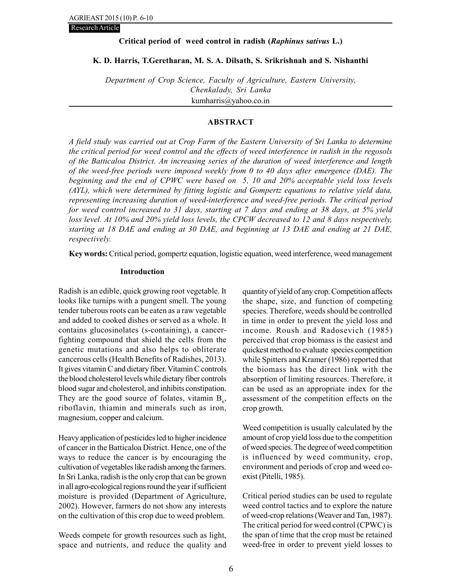Research Article

# Critical period of weed control in radish (Raphinus sativus L.)

# K. D. Harris, T.Geretharan, M. S. A. Dilsath, S. Srikrishnah and S. Nishanthi

Department of Crop Science, Faculty of Agriculture, Eastern University, Chenkalady, Sri Lanka kumharris@yahoo.co.in

# ABSTRACT

A field study was carried out at Crop Farm of the Eastern University of Sri Lanka to determine the critical period for weed control and the effects of weed interference in radish in the regosols of the Batticaloa District. An increasing series of the duration of weed interference and length of the weed-free periods were imposed weekly from 0 to 40 days after emergence (DAE). The beginning and the end of CPWC were based on 5, 10 and 20% acceptable yield loss levels (AYL), which were determined by fitting logistic and Gompertz equations to relative yield data, representing increasing duration of weed-interference and weed-free periods. The critical period for weed control increased to 31 days, starting at 7 days and ending at 38 days, at 5% yield loss level. At 10% and 20% yield loss levels, the CPCW decreased to 12 and 8 days respectively, starting at 18 DAE and ending at 30 DAE, and beginning at 13 DAE and ending at 21 DAE, respectively.

Key words: Critical period, gompertz equation, logistic equation, weed interference, weed management

# Introduction

Radish is an edible, quick growing root vegetable. It looks like turnips with a pungent smell. The young tender tuberous roots can be eaten as a raw vegetable and added to cooked dishes or served as a whole. It contains glucosinolates (s-containing), a cancerfighting compound that shield the cells from the genetic mutations and also helps to obliterate cancerous cells (Health Benefits of Radishes, 2013). It gives vitamin C and dietary fiber. Vitamin C controls the blood cholesterol levels while dietary fiber controls blood sugar and cholesterol, and inhibits constipation. They are the good source of folates, vitamin  $B_6$ , riboflavin, thiamin and minerals such as iron, magnesium, copper and calcium.

Heavy application of pesticides led to higher incidence of cancer in the Batticaloa District. Hence, one of the ways to reduce the cancer is by encouraging the cultivation of vegetables like radish among the farmers. In Sri Lanka, radish is the only crop that can be grown in all agro-ecological regions round the year if sufficient moisture is provided (Department of Agriculture, 2002). However, farmers do not show any interests on the cultivation of this crop due to weed problem.

Weeds compete for growth resources such as light, space and nutrients, and reduce the quality and quantity of yield of any crop. Competition affects the shape, size, and function of competing species. Therefore, weeds should be controlled in time in order to prevent the yield loss and income. Roush and Radosevich (1985) perceived that crop biomass is the easiest and quickest method to evaluate species competition while Spitters and Kramer (1986) reported that the biomass has the direct link with the absorption of limiting resources. Therefore, it can be used as an appropriate index for the assessment of the competition effects on the crop growth.

Weed competition is usually calculated by the amount of crop yield loss due to the competition of weed species. The degree of weed competition is influenced by weed community, crop, environment and periods of crop and weed coexist (Pitelli, 1985).

Critical period studies can be used to regulate weed control tactics and to explore the nature of weed-crop relations (Weaver and Tan, 1987). The critical period for weed control (CPWC) is the span of time that the crop must be retained weed-free in order to prevent yield losses to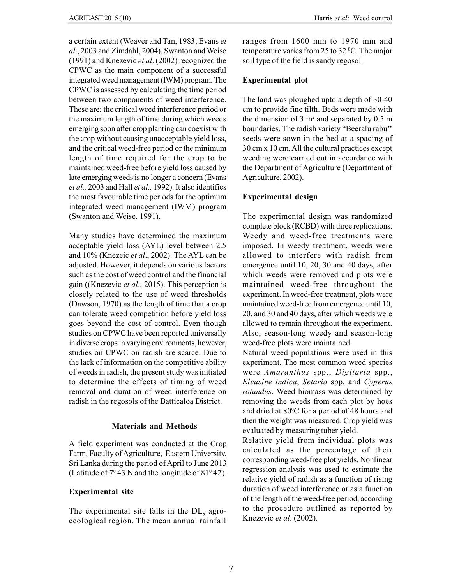a certain extent (Weaver and Tan, 1983, Evans et al., 2003 and Zimdahl, 2004). Swanton and Weise (1991) and Knezevic *et al.* (2002) recognized the CPWC as the main component of a successful integrated weed management (IWM) program. The CPWC is assessed by calculating the time period between two components of weed interference. These are; the critical weed interference period or the maximum length of time during which weeds emerging soon after crop planting can coexist with the crop without causing unacceptable yield loss, and the critical weed-free period or the minimum length of time required for the crop to be maintained weed-free before yield loss caused by late emerging weeds is no longer a concern (Evans et al., 2003 and Hall et al., 1992). It also identifies the most favourable time periods for the optimum integrated weed management (IWM) program (Swanton and Weise, 1991).

Many studies have determined the maximum acceptable yield loss (AYL) level between 2.5 and 10% (Knezeic et al., 2002). The AYL can be adjusted. However, it depends on various factors such as the cost of weed control and the financial gain ((Knezevic et al., 2015). This perception is closely related to the use of weed thresholds (Dawson, 1970) as the length of time that a crop can tolerate weed competition before yield loss goes beyond the cost of control. Even though studies on CPWC have been reported universally in diverse crops in varying environments, however, studies on CPWC on radish are scarce. Due to the lack of information on the competitive ability of weeds in radish, the present study was initiated to determine the effects of timing of weed removal and duration of weed interference on radish in the regosols of the Batticaloa District.

# Materials and Methods

A field experiment was conducted at the Crop Farm, Faculty of Agriculture, Eastern University, Sri Lanka during the period of April to June 2013 (Latitude of  $7^0$  43'N and the longitude of  $81^0$  42').

# Experimental site

The experimental site falls in the  $DL<sub>2</sub>$  agroecological region. The mean annual rainfall ranges from 1600 mm to 1970 mm and temperature varies from 25 to 32  $^{\circ}$ C. The major soil type of the field is sandy regosol.

#### Experimental plot

The land was ploughed upto a depth of 30-40 cm to provide fine tilth. Beds were made with the dimension of 3  $m<sup>2</sup>$  and separated by 0.5 m boundaries. The radish variety "Beeralu rabu'' seeds were sown in the bed at a spacing of 30 cm x 10 cm. All the cultural practices except weeding were carried out in accordance with the Department of Agriculture (Department of Agriculture, 2002).

# Experimental design

The experimental design was randomized complete block (RCBD) with three replications. Weedy and weed-free treatments were imposed. In weedy treatment, weeds were allowed to interfere with radish from emergence until 10, 20, 30 and 40 days, after which weeds were removed and plots were maintained weed-free throughout the experiment. In weed-free treatment, plots were maintained weed-free from emergence until 10, 20, and 30 and 40 days, after which weeds were allowed to remain throughout the experiment. Also, season-long weedy and season-long weed-free plots were maintained.

Natural weed populations were used in this experiment. The most common weed species were Amaranthus spp., Digitaria spp., Eleusine indica, Setaria spp. and Cyperus rotundus. Weed biomass was determined by removing the weeds from each plot by hoes and dried at 80°C for a period of 48 hours and then the weight was measured. Crop yield was evaluated by measuring tuber yield.

Relative yield from individual plots was calculated as the percentage of their corresponding weed-free plot yields. Nonlinear regression analysis was used to estimate the relative yield of radish as a function of rising duration of weed interference or as a function of the length of the weed-free period, according to the procedure outlined as reported by Knezevic et al. (2002).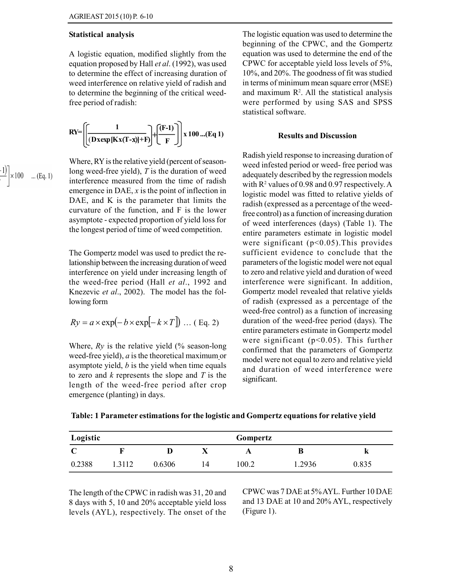#### Statistical analysis

A logistic equation, modified slightly from the equation proposed by Hall *et al.* (1992), was used to determine the effect of increasing duration of weed interference on relative yield of radish and to determine the beginning of the critical weedfree period of radish:

$$
RY = \left[ \left( \frac{1}{(D \, x \exp{[K \, x(T - x)] + F)}} \right) + \left( \frac{F - 1}{F} \right) \right] x \, 100 \ldots (Eq \, 1)
$$

Where, RY is the relative yield (percent of seasonlong weed-free yield),  $T$  is the duration of weed interference measured from the time of radish emergence in DAE,  $x$  is the point of inflection in DAE, and K is the parameter that limits the curvature of the function, and F is the lower asymptote - expected proportion of yield loss for the longest period of time of weed competition.

> The Gompertz model was used to predict the relationship between the increasing duration of weed interference on yield under increasing length of the weed-free period (Hall et al., 1992 and Knezevic et al., 2002). The model has the following form

$$
Ry = a \times \exp(-b \times \exp[-k \times T])
$$
 ... (Eq. 2)

Where,  $Ry$  is the relative yield (% season-long weed-free yield),  $a$  is the theoretical maximum or asymptote yield,  $b$  is the yield when time equals to zero and  $k$  represents the slope and  $T$  is the length of the weed-free period after crop emergence (planting) in days.

The logistic equation was used to determine the beginning of the CPWC, and the Gompertz equation was used to determine the end of the CPWC for acceptable yield loss levels of 5%, 10%, and 20%. The goodness of fit was studied in terms of minimum mean square error (MSE) and maximum  $\mathbb{R}^2$ . All the statistical analysis were performed by using SAS and SPSS statistical software.

#### Results and Discussion

Radish yield response to increasing duration of weed infested period or weed- free period was adequately described by the regression models with  $R^2$  values of 0.98 and 0.97 respectively. A logistic model was fitted to relative yields of radish (expressed as a percentage of the weedfree control) as a function of increasing duration of weed interferences (days) (Table 1). The entire parameters estimate in logistic model were significant ( $p<0.05$ ). This provides sufficient evidence to conclude that the parameters of the logistic model were not equal to zero and relative yield and duration of weed interference were significant. In addition, Gompertz model revealed that relative yields of radish (expressed as a percentage of the weed-free control) as a function of increasing duration of the weed-free period (days). The entire parameters estimate in Gompertz model were significant ( $p<0.05$ ). This further confirmed that the parameters of Gompertz model were not equal to zero and relative yield and duration of weed interference were significant.

|  |  |  | Table: 1 Parameter estimations for the logistic and Gompertz equations for relative yield |  |
|--|--|--|-------------------------------------------------------------------------------------------|--|
|  |  |  |                                                                                           |  |

| Logistic |        |        |    | Gompertz |         |       |
|----------|--------|--------|----|----------|---------|-------|
|          |        |        |    |          | В       | n     |
| 0.2388   | 1.3112 | 0.6306 | 14 | 100.2    | 2936. ا | 0.835 |

The length of the CPWC in radish was 31, 20 and 8 days with 5, 10 and 20% acceptable yield loss levels (AYL), respectively. The onset of the

CPWC was 7 DAE at 5% AYL. Further 10 DAE and 13 DAE at 10 and 20% AYL, respectively (Figure 1).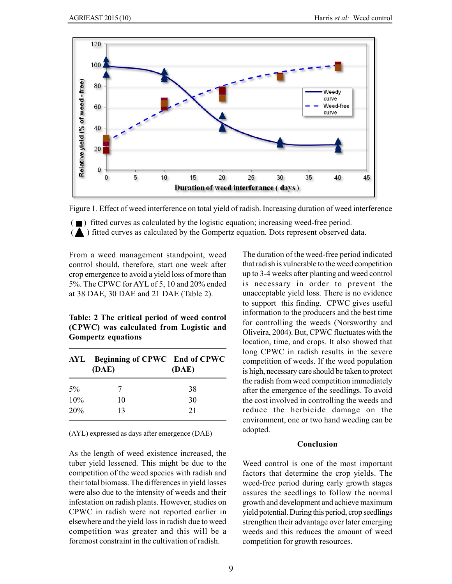

Figure 1. Effect of weed interference on total yield of radish. Increasing duration of weed interference

 $\epsilon$  ) fitted curves as calculated by the logistic equation; increasing weed-free period.

 $\Delta$ ) fitted curves as calculated by the Gompertz equation. Dots represent observed data.

From a weed management standpoint, weed control should, therefore, start one week after crop emergence to avoid a yield loss of more than 5%. The CPWC for AYL of 5, 10 and 20% ended at 38 DAE, 30 DAE and 21 DAE (Table 2).

# Table: 2 The critical period of weed control (CPWC) was calculated from Logistic and Gompertz equations

|       | AYL Beginning of CPWC End of CPWC<br>(DAE) | (DAE) |  |  |
|-------|--------------------------------------------|-------|--|--|
| $5\%$ |                                            | 38    |  |  |
| 10%   | 10                                         | 30    |  |  |
| 20%   | 13                                         | 21    |  |  |
|       |                                            |       |  |  |

(AYL) expressed as days after emergence (DAE)

As the length of weed existence increased, the tuber yield lessened. This might be due to the competition of the weed species with radish and their total biomass. The differences in yield losses were also due to the intensity of weeds and their infestation on radish plants. However, studies on CPWC in radish were not reported earlier in elsewhere and the yield loss in radish due to weed competition was greater and this will be a foremost constraint in the cultivation of radish.

The duration of the weed-free period indicated that radish is vulnerable to the weed competition up to 3-4 weeks after planting and weed control is necessary in order to prevent the unacceptable yield loss. There is no evidence to support this finding. CPWC gives useful information to the producers and the best time for controlling the weeds (Norsworthy and Oliveira, 2004). But, CPWC fluctuates with the location, time, and crops. It also showed that long CPWC in radish results in the severe competition of weeds. If the weed population is high, necessary care should be taken to protect the radish from weed competition immediately after the emergence of the seedlings. To avoid the cost involved in controlling the weeds and reduce the herbicide damage on the environment, one or two hand weeding can be adopted.

# Conclusion

Weed control is one of the most important factors that determine the crop yields. The weed-free period during early growth stages assures the seedlings to follow the normal growth and development and achieve maximum yield potential. During this period, crop seedlings strengthen their advantage over later emerging weeds and this reduces the amount of weed competition for growth resources.